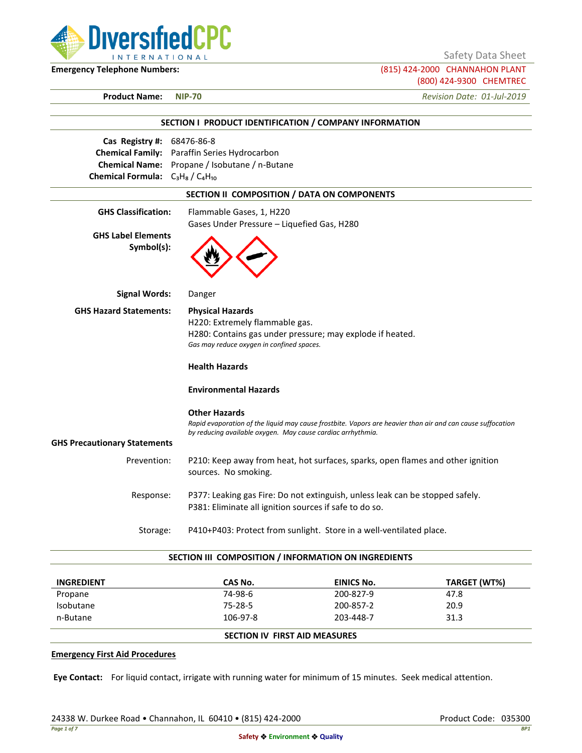

Safety Data Sheet

**Emergency Telephone Numbers:** (815) 424-2000 CHANNAHON PLANT (800) 424-9300 CHEMTREC

**Product Name: NIP-70** *Revision Date: 01-Jul-2019*

|                                                                       | SECTION I PRODUCT IDENTIFICATION / COMPANY INFORMATION                                                                                                                                            |
|-----------------------------------------------------------------------|---------------------------------------------------------------------------------------------------------------------------------------------------------------------------------------------------|
| Cas Registry #: 68476-86-8<br>Chemical Formula: $C_3H_8/C_4H_{10}$    | Chemical Family: Paraffin Series Hydrocarbon<br>Chemical Name: Propane / Isobutane / n-Butane                                                                                                     |
|                                                                       | SECTION II COMPOSITION / DATA ON COMPONENTS                                                                                                                                                       |
| <b>GHS Classification:</b><br><b>GHS Label Elements</b><br>Symbol(s): | Flammable Gases, 1, H220<br>Gases Under Pressure - Liquefied Gas, H280                                                                                                                            |
| <b>Signal Words:</b>                                                  | Danger                                                                                                                                                                                            |
| <b>GHS Hazard Statements:</b>                                         | <b>Physical Hazards</b><br>H220: Extremely flammable gas.<br>H280: Contains gas under pressure; may explode if heated.<br>Gas may reduce oxygen in confined spaces.<br><b>Health Hazards</b>      |
|                                                                       | <b>Environmental Hazards</b>                                                                                                                                                                      |
| <b>GHS Precautionary Statements</b>                                   | <b>Other Hazards</b><br>Rapid evaporation of the liquid may cause frostbite. Vapors are heavier than air and can cause suffocation<br>by reducing available oxygen. May cause cardiac arrhythmia. |
| Prevention:                                                           | P210: Keep away from heat, hot surfaces, sparks, open flames and other ignition<br>sources. No smoking.                                                                                           |
| Response:                                                             | P377: Leaking gas Fire: Do not extinguish, unless leak can be stopped safely.<br>P381: Eliminate all ignition sources if safe to do so.                                                           |
| Storage:                                                              | P410+P403: Protect from sunlight. Store in a well-ventilated place.                                                                                                                               |

#### **SECTION III COMPOSITION / INFORMATION ON INGREDIENTS**

| <b>INGREDIENT</b> | CAS No.  | EINICS No.                           | TARGET (WT%) |  |
|-------------------|----------|--------------------------------------|--------------|--|
| Propane           | 74-98-6  | 200-827-9                            | 47.8         |  |
| Isobutane         | 75-28-5  | 200-857-2                            | 20.9         |  |
| n-Butane          | 106-97-8 | 203-448-7                            | 31.3         |  |
|                   |          | <b>SECTION IV FIRST AID MEASURES</b> |              |  |

### **Emergency First Aid Procedures**

**Eye Contact:** For liquid contact, irrigate with running water for minimum of 15 minutes. Seek medical attention.

24338 W. Durkee Road • Channahon, IL 60410 • (815) 424-2000 Product Code: 035300 Product Code: 035300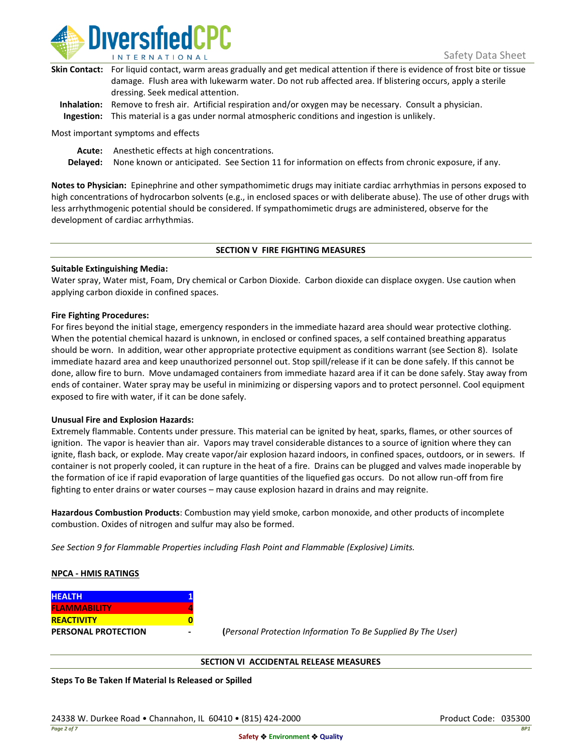

| Skin Contact: For liquid contact, warm areas gradually and get medical attention if there is evidence of frost bite or tissue |
|-------------------------------------------------------------------------------------------------------------------------------|
| damage. Flush area with lukewarm water. Do not rub affected area. If blistering occurs, apply a sterile                       |
| dressing. Seek medical attention.                                                                                             |
|                                                                                                                               |

**Inhalation:** Remove to fresh air. Artificial respiration and/or oxygen may be necessary. Consult a physician. **Ingestion:** This material is a gas under normal atmospheric conditions and ingestion is unlikely.

Most important symptoms and effects

**Acute:** Anesthetic effects at high concentrations.

**Delayed:** None known or anticipated. See Section 11 for information on effects from chronic exposure, if any.

**Notes to Physician:** Epinephrine and other sympathomimetic drugs may initiate cardiac arrhythmias in persons exposed to high concentrations of hydrocarbon solvents (e.g., in enclosed spaces or with deliberate abuse). The use of other drugs with less arrhythmogenic potential should be considered. If sympathomimetic drugs are administered, observe for the development of cardiac arrhythmias.

### **SECTION V FIRE FIGHTING MEASURES**

### **Suitable Extinguishing Media:**

Water spray, Water mist, Foam, Dry chemical or Carbon Dioxide. Carbon dioxide can displace oxygen. Use caution when applying carbon dioxide in confined spaces.

### **Fire Fighting Procedures:**

For fires beyond the initial stage, emergency responders in the immediate hazard area should wear protective clothing. When the potential chemical hazard is unknown, in enclosed or confined spaces, a self contained breathing apparatus should be worn. In addition, wear other appropriate protective equipment as conditions warrant (see Section 8). Isolate immediate hazard area and keep unauthorized personnel out. Stop spill/release if it can be done safely. If this cannot be done, allow fire to burn. Move undamaged containers from immediate hazard area if it can be done safely. Stay away from ends of container. Water spray may be useful in minimizing or dispersing vapors and to protect personnel. Cool equipment exposed to fire with water, if it can be done safely.

### **Unusual Fire and Explosion Hazards:**

Extremely flammable. Contents under pressure. This material can be ignited by heat, sparks, flames, or other sources of ignition. The vapor is heavier than air. Vapors may travel considerable distances to a source of ignition where they can ignite, flash back, or explode. May create vapor/air explosion hazard indoors, in confined spaces, outdoors, or in sewers. If container is not properly cooled, it can rupture in the heat of a fire. Drains can be plugged and valves made inoperable by the formation of ice if rapid evaporation of large quantities of the liquefied gas occurs. Do not allow run-off from fire fighting to enter drains or water courses – may cause explosion hazard in drains and may reignite.

**Hazardous Combustion Products**: Combustion may yield smoke, carbon monoxide, and other products of incomplete combustion. Oxides of nitrogen and sulfur may also be formed.

*See Section 9 for Flammable Properties including Flash Point and Flammable (Explosive) Limits.*

### **NPCA - HMIS RATINGS**

| <b>HEALTH</b>              |  |
|----------------------------|--|
| <b>FLAMMABILITY</b>        |  |
| <b>REACTIVITY</b>          |  |
| <b>PERSONAL PROTECTION</b> |  |

**PERSONAL PROTECTION - (***Personal Protection Information To Be Supplied By The User)*

### **SECTION VI ACCIDENTAL RELEASE MEASURES**

**Steps To Be Taken If Material Is Released or Spilled**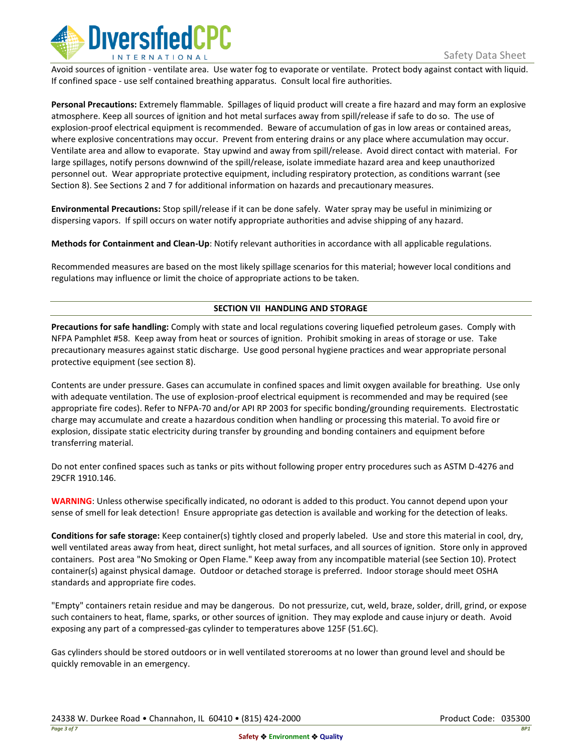

Avoid sources of ignition - ventilate area. Use water fog to evaporate or ventilate. Protect body against contact with liquid. If confined space - use self contained breathing apparatus. Consult local fire authorities.

**Personal Precautions:** Extremely flammable. Spillages of liquid product will create a fire hazard and may form an explosive atmosphere. Keep all sources of ignition and hot metal surfaces away from spill/release if safe to do so. The use of explosion-proof electrical equipment is recommended. Beware of accumulation of gas in low areas or contained areas, where explosive concentrations may occur. Prevent from entering drains or any place where accumulation may occur. Ventilate area and allow to evaporate. Stay upwind and away from spill/release. Avoid direct contact with material. For large spillages, notify persons downwind of the spill/release, isolate immediate hazard area and keep unauthorized personnel out. Wear appropriate protective equipment, including respiratory protection, as conditions warrant (see Section 8). See Sections 2 and 7 for additional information on hazards and precautionary measures.

**Environmental Precautions:** Stop spill/release if it can be done safely. Water spray may be useful in minimizing or dispersing vapors. If spill occurs on water notify appropriate authorities and advise shipping of any hazard.

**Methods for Containment and Clean-Up**: Notify relevant authorities in accordance with all applicable regulations.

Recommended measures are based on the most likely spillage scenarios for this material; however local conditions and regulations may influence or limit the choice of appropriate actions to be taken.

# **SECTION VII HANDLING AND STORAGE**

**Precautions for safe handling:** Comply with state and local regulations covering liquefied petroleum gases. Comply with NFPA Pamphlet #58. Keep away from heat or sources of ignition. Prohibit smoking in areas of storage or use. Take precautionary measures against static discharge. Use good personal hygiene practices and wear appropriate personal protective equipment (see section 8).

Contents are under pressure. Gases can accumulate in confined spaces and limit oxygen available for breathing. Use only with adequate ventilation. The use of explosion-proof electrical equipment is recommended and may be required (see appropriate fire codes). Refer to NFPA-70 and/or API RP 2003 for specific bonding/grounding requirements. Electrostatic charge may accumulate and create a hazardous condition when handling or processing this material. To avoid fire or explosion, dissipate static electricity during transfer by grounding and bonding containers and equipment before transferring material.

Do not enter confined spaces such as tanks or pits without following proper entry procedures such as ASTM D-4276 and 29CFR 1910.146.

**WARNING**: Unless otherwise specifically indicated, no odorant is added to this product. You cannot depend upon your sense of smell for leak detection! Ensure appropriate gas detection is available and working for the detection of leaks.

**Conditions for safe storage:** Keep container(s) tightly closed and properly labeled. Use and store this material in cool, dry, well ventilated areas away from heat, direct sunlight, hot metal surfaces, and all sources of ignition. Store only in approved containers. Post area "No Smoking or Open Flame." Keep away from any incompatible material (see Section 10). Protect container(s) against physical damage. Outdoor or detached storage is preferred. Indoor storage should meet OSHA standards and appropriate fire codes.

"Empty" containers retain residue and may be dangerous. Do not pressurize, cut, weld, braze, solder, drill, grind, or expose such containers to heat, flame, sparks, or other sources of ignition. They may explode and cause injury or death. Avoid exposing any part of a compressed-gas cylinder to temperatures above 125F (51.6C).

Gas cylinders should be stored outdoors or in well ventilated storerooms at no lower than ground level and should be quickly removable in an emergency.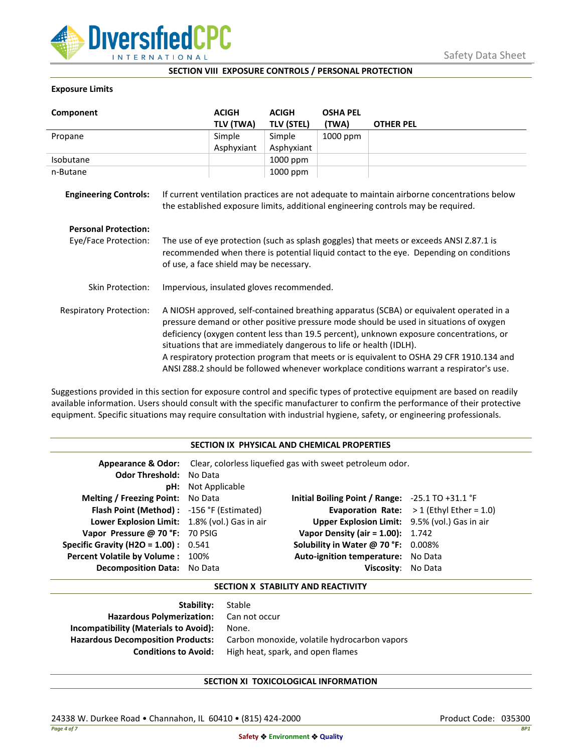

### **SECTION VIII EXPOSURE CONTROLS / PERSONAL PROTECTION**

### **Exposure Limits**

| Component                      |                                                                                                                                                                                                                                                                                                                                                                                                                                                                                                                                            | <b>ACIGH</b> | <b>ACIGH</b>      | <b>OSHA PEL</b> |                                                                                                                                                                                  |
|--------------------------------|--------------------------------------------------------------------------------------------------------------------------------------------------------------------------------------------------------------------------------------------------------------------------------------------------------------------------------------------------------------------------------------------------------------------------------------------------------------------------------------------------------------------------------------------|--------------|-------------------|-----------------|----------------------------------------------------------------------------------------------------------------------------------------------------------------------------------|
|                                |                                                                                                                                                                                                                                                                                                                                                                                                                                                                                                                                            | TLV (TWA)    | <b>TLV (STEL)</b> | (TWA)           | <b>OTHER PEL</b>                                                                                                                                                                 |
| Propane                        |                                                                                                                                                                                                                                                                                                                                                                                                                                                                                                                                            | Simple       | Simple            | 1000 ppm        |                                                                                                                                                                                  |
|                                |                                                                                                                                                                                                                                                                                                                                                                                                                                                                                                                                            | Asphyxiant   | Asphyxiant        |                 |                                                                                                                                                                                  |
| Isobutane                      |                                                                                                                                                                                                                                                                                                                                                                                                                                                                                                                                            |              | 1000 ppm          |                 |                                                                                                                                                                                  |
| n-Butane                       |                                                                                                                                                                                                                                                                                                                                                                                                                                                                                                                                            |              | 1000 ppm          |                 |                                                                                                                                                                                  |
| <b>Engineering Controls:</b>   |                                                                                                                                                                                                                                                                                                                                                                                                                                                                                                                                            |              |                   |                 | If current ventilation practices are not adequate to maintain airborne concentrations below<br>the established exposure limits, additional engineering controls may be required. |
| <b>Personal Protection:</b>    |                                                                                                                                                                                                                                                                                                                                                                                                                                                                                                                                            |              |                   |                 |                                                                                                                                                                                  |
| Eye/Face Protection:           | The use of eye protection (such as splash goggles) that meets or exceeds ANSI Z.87.1 is<br>recommended when there is potential liquid contact to the eye. Depending on conditions<br>of use, a face shield may be necessary.                                                                                                                                                                                                                                                                                                               |              |                   |                 |                                                                                                                                                                                  |
| <b>Skin Protection:</b>        | Impervious, insulated gloves recommended.                                                                                                                                                                                                                                                                                                                                                                                                                                                                                                  |              |                   |                 |                                                                                                                                                                                  |
| <b>Respiratory Protection:</b> | A NIOSH approved, self-contained breathing apparatus (SCBA) or equivalent operated in a<br>pressure demand or other positive pressure mode should be used in situations of oxygen<br>deficiency (oxygen content less than 19.5 percent), unknown exposure concentrations, or<br>situations that are immediately dangerous to life or health (IDLH).<br>A respiratory protection program that meets or is equivalent to OSHA 29 CFR 1910.134 and<br>ANSI Z88.2 should be followed whenever workplace conditions warrant a respirator's use. |              |                   |                 |                                                                                                                                                                                  |

Suggestions provided in this section for exposure control and specific types of protective equipment are based on readily available information. Users should consult with the specific manufacturer to confirm the performance of their protective equipment. Specific situations may require consultation with industrial hygiene, safety, or engineering professionals.

### **SECTION IX PHYSICAL AND CHEMICAL PROPERTIES**

| <b>Odor Threshold: No Data</b>                | <b>pH:</b> Not Applicable | <b>Appearance &amp; Odor:</b> Clear, colorless liquefied gas with sweet petroleum odor. |                                                   |
|-----------------------------------------------|---------------------------|-----------------------------------------------------------------------------------------|---------------------------------------------------|
| <b>Melting / Freezing Point:</b> No Data      |                           | Initial Boiling Point / Range: $-25.1$ TO $+31.1$ °F                                    |                                                   |
| Flash Point (Method): -156 °F (Estimated)     |                           |                                                                                         | <b>Evaporation Rate:</b> $>1$ (Ethyl Ether = 1.0) |
| Lower Explosion Limit: 1.8% (vol.) Gas in air |                           | Upper Explosion Limit: 9.5% (vol.) Gas in air                                           |                                                   |
| Vapor Pressure @ 70 °F: 70 PSIG               |                           | <b>Vapor Density (air = 1.00):</b> 1.742                                                |                                                   |
| Specific Gravity (H2O = $1.00$ ) : $0.541$    |                           | Solubility in Water @ 70 °F: 0.008%                                                     |                                                   |
| Percent Volatile by Volume: 100%              |                           | Auto-ignition temperature: No Data                                                      |                                                   |
| <b>Decomposition Data:</b> No Data            |                           | Viscosity: No Data                                                                      |                                                   |

## **SECTION X STABILITY AND REACTIVITY**

| Stable                                       |
|----------------------------------------------|
| Hazardous Polymerization: Can not occur      |
| None.                                        |
| Carbon monoxide, volatile hydrocarbon vapors |
| High heat, spark, and open flames            |
|                                              |

# **SECTION XI TOXICOLOGICAL INFORMATION**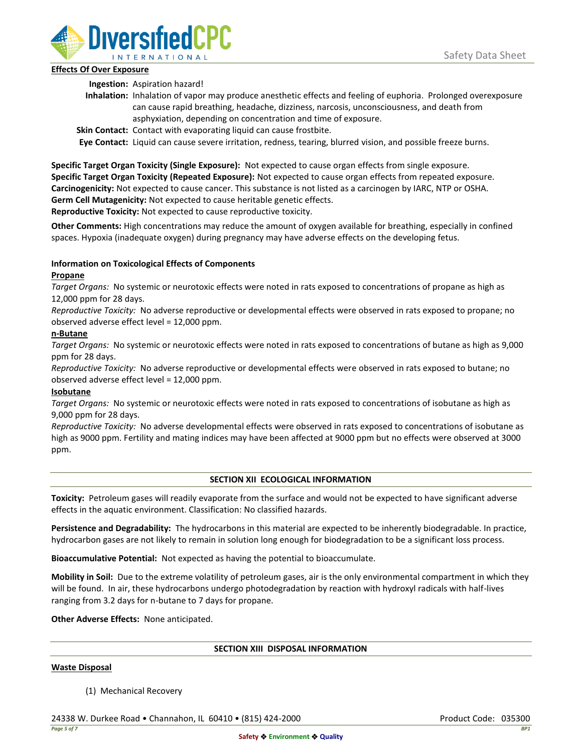

# **Effects Of Over Exposure**

**Ingestion:** Aspiration hazard!

- **Inhalation:** Inhalation of vapor may produce anesthetic effects and feeling of euphoria. Prolonged overexposure can cause rapid breathing, headache, dizziness, narcosis, unconsciousness, and death from asphyxiation, depending on concentration and time of exposure.
- **Skin Contact:** Contact with evaporating liquid can cause frostbite.

**Eye Contact:** Liquid can cause severe irritation, redness, tearing, blurred vision, and possible freeze burns.

**Specific Target Organ Toxicity (Single Exposure):** Not expected to cause organ effects from single exposure. **Specific Target Organ Toxicity (Repeated Exposure):** Not expected to cause organ effects from repeated exposure. **Carcinogenicity:** Not expected to cause cancer. This substance is not listed as a carcinogen by IARC, NTP or OSHA. **Germ Cell Mutagenicity:** Not expected to cause heritable genetic effects.

**Reproductive Toxicity:** Not expected to cause reproductive toxicity.

**Other Comments:** High concentrations may reduce the amount of oxygen available for breathing, especially in confined spaces. Hypoxia (inadequate oxygen) during pregnancy may have adverse effects on the developing fetus.

# **Information on Toxicological Effects of Components**

# **Propane**

*Target Organs:* No systemic or neurotoxic effects were noted in rats exposed to concentrations of propane as high as 12,000 ppm for 28 days.

*Reproductive Toxicity:* No adverse reproductive or developmental effects were observed in rats exposed to propane; no observed adverse effect level = 12,000 ppm.

# **n-Butane**

*Target Organs:* No systemic or neurotoxic effects were noted in rats exposed to concentrations of butane as high as 9,000 ppm for 28 days.

*Reproductive Toxicity:* No adverse reproductive or developmental effects were observed in rats exposed to butane; no observed adverse effect level = 12,000 ppm.

# **Isobutane**

*Target Organs:* No systemic or neurotoxic effects were noted in rats exposed to concentrations of isobutane as high as 9,000 ppm for 28 days.

*Reproductive Toxicity:* No adverse developmental effects were observed in rats exposed to concentrations of isobutane as high as 9000 ppm. Fertility and mating indices may have been affected at 9000 ppm but no effects were observed at 3000 ppm.

### **SECTION XII ECOLOGICAL INFORMATION**

**Toxicity:** Petroleum gases will readily evaporate from the surface and would not be expected to have significant adverse effects in the aquatic environment. Classification: No classified hazards.

**Persistence and Degradability:** The hydrocarbons in this material are expected to be inherently biodegradable. In practice, hydrocarbon gases are not likely to remain in solution long enough for biodegradation to be a significant loss process.

**Bioaccumulative Potential:** Not expected as having the potential to bioaccumulate.

**Mobility in Soil:** Due to the extreme volatility of petroleum gases, air is the only environmental compartment in which they will be found. In air, these hydrocarbons undergo photodegradation by reaction with hydroxyl radicals with half-lives ranging from 3.2 days for n-butane to 7 days for propane.

**Other Adverse Effects:** None anticipated.

### **SECTION XIII DISPOSAL INFORMATION**

### **Waste Disposal**

(1) Mechanical Recovery

24338 W. Durkee Road • Channahon, IL 60410 • (815) 424-2000 Product Code: 035300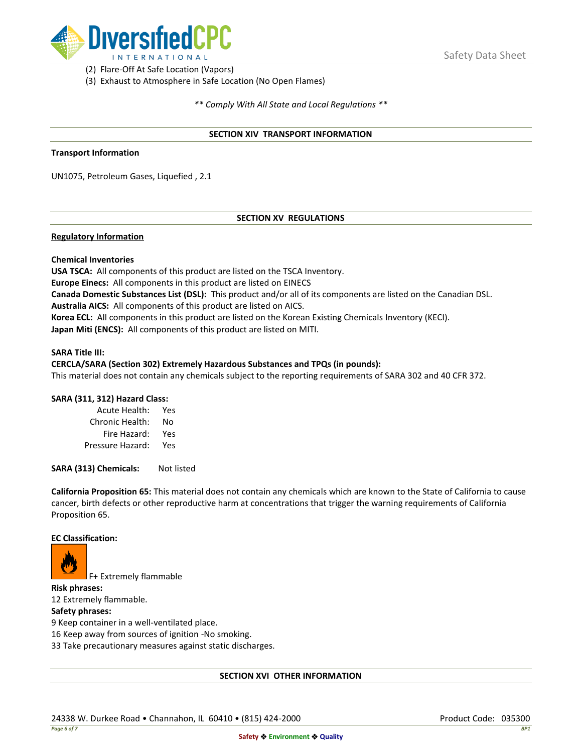

(2) Flare-Off At Safe Location (Vapors)

(3) Exhaust to Atmosphere in Safe Location (No Open Flames)

*\*\* Comply With All State and Local Regulations \*\**

### **SECTION XIV TRANSPORT INFORMATION**

### **Transport Information**

UN1075, Petroleum Gases, Liquefied , 2.1

# **SECTION XV REGULATIONS**

## **Regulatory Information**

### **Chemical Inventories**

**USA TSCA:** All components of this product are listed on the TSCA Inventory. **Europe Einecs:** All components in this product are listed on EINECS **Canada Domestic Substances List (DSL):** This product and/or all of its components are listed on the Canadian DSL. **Australia AICS:** All components of this product are listed on AICS. **Korea ECL:** All components in this product are listed on the Korean Existing Chemicals Inventory (KECI). **Japan Miti (ENCS):** All components of this product are listed on MITI.

#### **SARA Title III:**

### **CERCLA/SARA (Section 302) Extremely Hazardous Substances and TPQs (in pounds):**

This material does not contain any chemicals subject to the reporting requirements of SARA 302 and 40 CFR 372.

### **SARA (311, 312) Hazard Class:**

| Acute Health:    | Yes |
|------------------|-----|
| Chronic Health:  | No  |
| Fire Hazard:     | Yes |
| Pressure Hazard: | Yes |

**SARA (313) Chemicals:** Not listed

**California Proposition 65:** This material does not contain any chemicals which are known to the State of California to cause cancer, birth defects or other reproductive harm at concentrations that trigger the warning requirements of California Proposition 65.

## **EC Classification:**



F+ Extremely flammable

**Risk phrases:** 12 Extremely flammable.

## **Safety phrases:**

9 Keep container in a well-ventilated place.

16 Keep away from sources of ignition -No smoking.

33 Take precautionary measures against static discharges.

### **SECTION XVI OTHER INFORMATION**